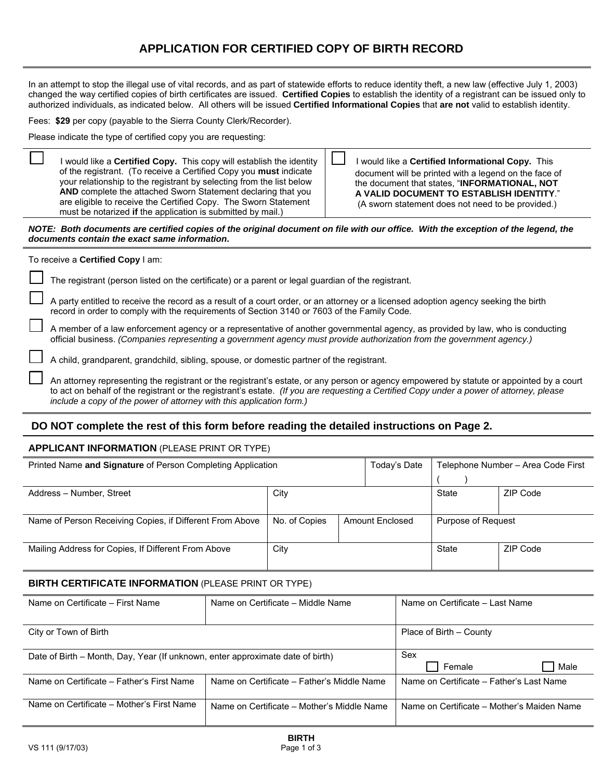# **APPLICATION FOR CERTIFIED COPY OF BIRTH RECORD**

In an attempt to stop the illegal use of vital records, and as part of statewide efforts to reduce identity theft, a new law (effective July 1, 2003) changed the way certified copies of birth certificates are issued. **Certified Copies** to establish the identity of a registrant can be issued only to authorized individuals, as indicated below. All others will be issued **Certified Informational Copies** that **are not** valid to establish identity.

Fees: **\$29** per copy (payable to the Sierra County Clerk/Recorder).

Please indicate the type of certified copy you are requesting:

 I would like a **Certified Copy.** This copy will establish the identity of the registrant. (To receive a Certified Copy you **must** indicate your relationship to the registrant by selecting from the list below **AND** complete the attached Sworn Statement declaring that you are eligible to receive the Certified Copy. The Sworn Statement must be notarized **if** the application is submitted by mail.)

 I would like a **Certified Informational Copy.** This document will be printed with a legend on the face of the document that states, "**INFORMATIONAL, NOT A VALID DOCUMENT TO ESTABLISH IDENTITY**." (A sworn statement does not need to be provided.)

*NOTE: Both documents are certified copies of the original document on file with our office. With the exception of the legend, the documents contain the exact same information***.** 

#### To receive a **Certified Copy** I am:

The registrant (person listed on the certificate) or a parent or legal guardian of the registrant.

 A party entitled to receive the record as a result of a court order, or an attorney or a licensed adoption agency seeking the birth record in order to comply with the requirements of Section 3140 or 7603 of the Family Code.

 A member of a law enforcement agency or a representative of another governmental agency, as provided by law, who is conducting official business. *(Companies representing a government agency must provide authorization from the government agency.)*

A child, grandparent, grandchild, sibling, spouse, or domestic partner of the registrant.

 An attorney representing the registrant or the registrant's estate, or any person or agency empowered by statute or appointed by a court to act on behalf of the registrant or the registrant's estate. *(If you are requesting a Certified Copy under a power of attorney, please include a copy of the power of attorney with this application form.)*

## **DO NOT complete the rest of this form before reading the detailed instructions on Page 2.**

### **APPLICANT INFORMATION** (PLEASE PRINT OR TYPE)

| Printed Name and Signature of Person Completing Application |                                  |  | Today's Date       | Telephone Number - Area Code First |          |  |
|-------------------------------------------------------------|----------------------------------|--|--------------------|------------------------------------|----------|--|
|                                                             |                                  |  |                    |                                    |          |  |
| Address - Number, Street                                    | City                             |  |                    | State                              | ZIP Code |  |
|                                                             |                                  |  |                    |                                    |          |  |
| Name of Person Receiving Copies, if Different From Above    | No. of Copies<br>Amount Enclosed |  | Purpose of Request |                                    |          |  |
|                                                             |                                  |  |                    |                                    |          |  |
| Mailing Address for Copies, If Different From Above         | City                             |  |                    | State                              | ZIP Code |  |
|                                                             |                                  |  |                    |                                    |          |  |

#### **BIRTH CERTIFICATE INFORMATION** (PLEASE PRINT OR TYPE)

| Name on Certificate – First Name                                               | Name on Certificate – Middle Name          | Name on Certificate - Last Name            |
|--------------------------------------------------------------------------------|--------------------------------------------|--------------------------------------------|
| City or Town of Birth                                                          |                                            | Place of Birth - County                    |
| Date of Birth - Month, Day, Year (If unknown, enter approximate date of birth) |                                            | Sex<br>Female<br>Male                      |
| Name on Certificate – Father's First Name                                      | Name on Certificate - Father's Middle Name | Name on Certificate – Father's Last Name   |
| Name on Certificate – Mother's First Name                                      | Name on Certificate – Mother's Middle Name | Name on Certificate – Mother's Maiden Name |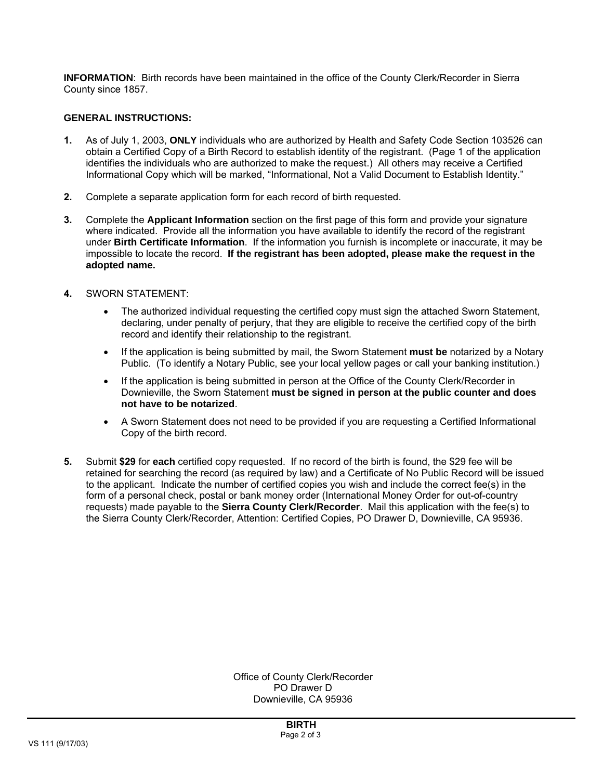**INFORMATION**: Birth records have been maintained in the office of the County Clerk/Recorder in Sierra County since 1857.

### **GENERAL INSTRUCTIONS:**

- **1.** As of July 1, 2003, **ONLY** individuals who are authorized by Health and Safety Code Section 103526 can obtain a Certified Copy of a Birth Record to establish identity of the registrant. (Page 1 of the application identifies the individuals who are authorized to make the request.) All others may receive a Certified Informational Copy which will be marked, "Informational, Not a Valid Document to Establish Identity."
- **2.** Complete a separate application form for each record of birth requested.
- **3.** Complete the **Applicant Information** section on the first page of this form and provide your signature where indicated. Provide all the information you have available to identify the record of the registrant under **Birth Certificate Information**. If the information you furnish is incomplete or inaccurate, it may be impossible to locate the record. **If the registrant has been adopted, please make the request in the adopted name.**
- **4.** SWORN STATEMENT:
	- The authorized individual requesting the certified copy must sign the attached Sworn Statement, declaring, under penalty of perjury, that they are eligible to receive the certified copy of the birth record and identify their relationship to the registrant.
	- If the application is being submitted by mail, the Sworn Statement **must be** notarized by a Notary Public. (To identify a Notary Public, see your local yellow pages or call your banking institution.)
	- If the application is being submitted in person at the Office of the County Clerk/Recorder in Downieville, the Sworn Statement **must be signed in person at the public counter and does not have to be notarized**.
	- A Sworn Statement does not need to be provided if you are requesting a Certified Informational Copy of the birth record.
- **5.** Submit **\$29** for **each** certified copy requested. If no record of the birth is found, the \$29 fee will be retained for searching the record (as required by law) and a Certificate of No Public Record will be issued to the applicant. Indicate the number of certified copies you wish and include the correct fee(s) in the form of a personal check, postal or bank money order (International Money Order for out-of-country requests) made payable to the **Sierra County Clerk/Recorder**. Mail this application with the fee(s) to the Sierra County Clerk/Recorder, Attention: Certified Copies, PO Drawer D, Downieville, CA 95936.

Office of County Clerk/Recorder PO Drawer D Downieville, CA 95936

**BIRTH**  Page 2 of 3